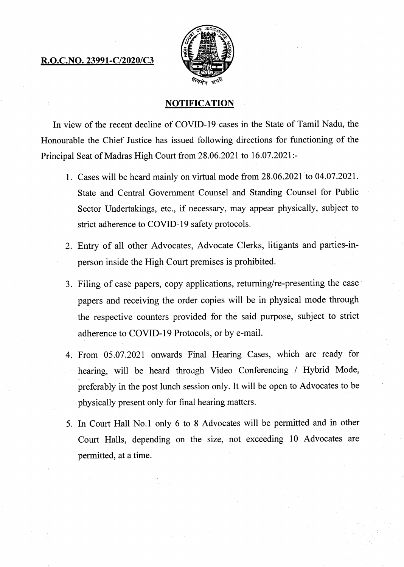## **R.O.C.NO. 23991-C/2020/C3**



## **NOTIFICATION**

**In view of the recent decline of COVID-19 cases in the State of Tamil Nadu, the Honourable the Chief Justice has issued following directions for functioning of the Principal Seat of Madras High Court from 28.06.2021 to 16.07.2021:-** 

- **Cases will be heard mainly on virtual mode from 28.06.2021 to 04.07.2021. State and Central Government Counsel and Standing Counsel for Public Sector Undertakings, etc., if necessary, may appear physically, subject to strict adherence to COVID-19 safety protocols.**
- **Entry of all other Advocates, Advocate Clerks, litigants and parties-inperson inside the High Court premises is prohibited.**
- **3. Filing of case papers, copy applications, returning/re-presenting the case papers and receiving the order copies will be in physical mode through the respective counters provided for the said purpose, subject to strict adherence to COVID-19 Protocols, or by e-mail.**
- **From 05.07.2021 onwards Final Hearing Cases, which are ready for hearing, will be heard through Video Conferencing / Hybrid Mode, preferably in the post lunch session only. It will be open to Advocates to be physically present only for final hearing matters.**
- **In Court Hall No.1 only 6 to 8 Advocates will be permitted and in other Court Halls, depending on the size, not exceeding 10 Advocates are permitted, at a time.**